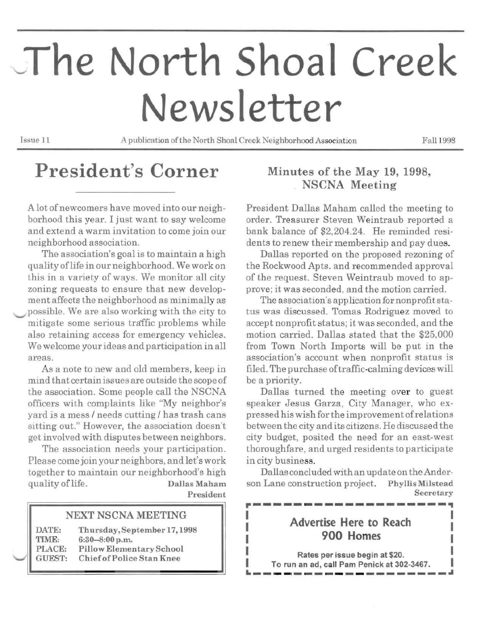# **The North Shoal Creek** News letter

Issue 11 A publication ofthe North Shoal Creek Neighborhood Association Fall 1998

# **President's Corner**

A lot of newcomers have moved into our neighborhood this year. I just want to say welcome and extend a warm invitation to come join our neighborhood association.

The association's goal is to maintain a high quality oflife in our neighborhood. We work on this in a variety of ways. We monitor all city zoning requests to ensure that new development affects the neighborhood as minimally as possible. We are also working with the city to mitigate some serious traffic problems while also retaining access for emergency vehicles. We welcome yourideas and participation in all areas.

As a note to new and old members, keep in mind that certain issues are outside the scope of the association. Some people call the NSCNA officers with complaints like "My neighbor's yard is a mess / needs cutting / has trash cans sitting out." However, the association doesn't get involvedwith disputes between neighbors.

The association needs your participation. Please come join your neighbors, and let's work together to maintain our neighborhood's high quality of life. Dallas Maham President

#### NEXT NSCNA MEETING

| DATE:  | Thursday, September 17, 1998     |
|--------|----------------------------------|
| TIME:  | $6:30-8:00$ p.m.                 |
| PLACE: | Pillow Elementary School         |
| GUEST: | <b>Chief of Police Stan Knee</b> |

## Minutes of the May 19, 1998, NSCNA Meeting

President Dallas Maham called the meeting to order. Treasurer Steven Weintraub reported a bank balance of \$2,204.24. He reminded residents to renew their membership and pay dues.

Dallas reported on the proposed rezoning of the Rockwood Apts. and recommended approval of the request. Steven Weintraub moved to approve; it was seconded, and the motion carried.

The association's application for nonprofit status was discussed. Tomas Rodriguez moved to accept nonprofit status; it was seconded, and the motion carried. Dallas stated that the \$25,000 from Town North Imports will be put in the association's account when nonprofit status is flied. The purchase oftraffic-calming devices will be a priority.

Dallas turned the meeting over to guest speaker Jesus Garza, City Manager, who expressed his wish for the improvement ofrelations between the city and its citizens. He discussed the city budget, posited the need for an east-west thoroughfare, and urged residents to participate in city business.

Dallas concludedwith an up date on the Anderson Lane construction project. Phyllis Milstead Secretary *r----------------------*<br>1

# Advertise Here to Reach<br>900 Homes

Rates per issue begin at \$20. To run an ad, call Pam Penick at 302-3467.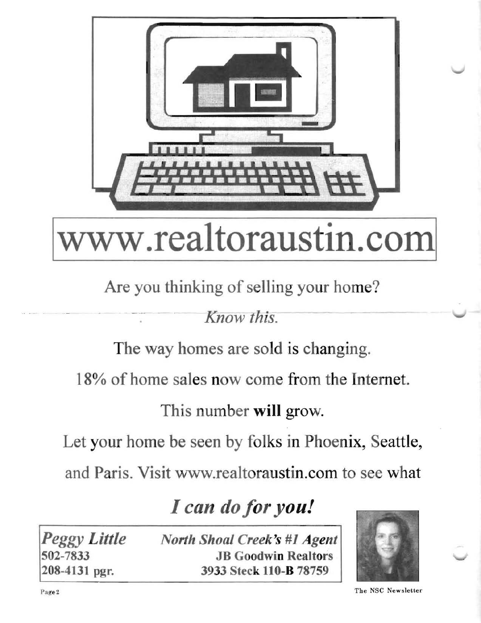

# www.realtoraustin.com

# Are you thinking of selling your home?

*Know this.* 

The way homes are sold is changing.

18% of home sales now come from the Internet.

This number will grow.

Let your home be seen by folks in Phoenix, Seattle,

and Paris. Visit www.realtoraustin.com to see what

# I can do for you!

*Peggy Little North Shoal Creek's* #1 *Agent*  502-7833 JB Goodwin Realtors 208-4131 pgr. 3933 Steck 110-B 78759



Page 2 The NSC Newsletter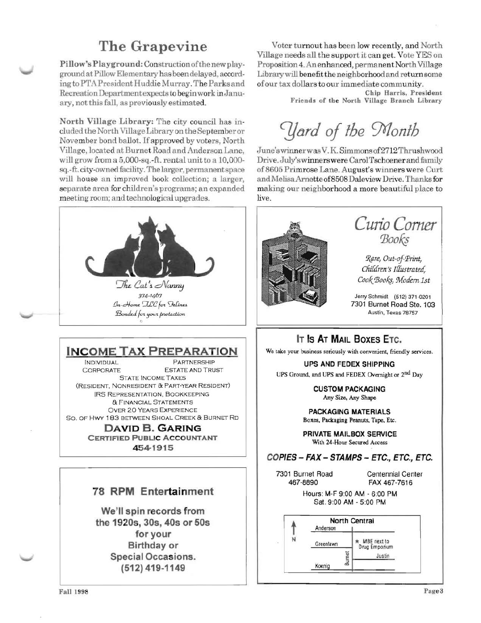## The Grapevine

Pillow's Playground: Construction of the new playground at Pillow Elementary has been delayed, according to PTA President Huddie Murray. The Parks and Recreation Department expects to begin work in January, not this fall, as previously estimated.

North Village Library: The city council has included the North Village Library on the September or November bond ballot. If approved by voters, North Village, located at Burnet Road and Anderson Lane, will grow from a 5,000-sq.-ft. rental unit to a 10,000sq.-ft.city-owned facility. The larger, permanent space will house an improved book collection; a larger, separate area for children's programs; an expanded meeting room; and technological upgrades.



374-1467 In-Home ILC for Felines Bonded for your protection

## **INCOME TAX PREPARATION**

**INDIVIDUAL** PARTNERSHIP CORPORATE **ESTATE AND TRUST STATE INCOME TAXES** (RESIDENT, NONRESIDENT & PART-YEAR RESIDENT) **IRS REPRESENTATION, BOOKKEEPING** & FINANCIAL STATEMENTS **OVER 20 YEARS EXPERIENCE** SO. OF HWY 183 BETWEEN SHOAL CREEK & BURNET RD

> **DAVID B. GARING CERTIFIED PUBLIC ACCOUNTANT** 454-1915

### **78 RPM Entertainment**

We'll spin records from the 1920s, 30s, 40s or 50s for your **Birthday or Special Occasions.** (512) 419-1149

Voter turnout has been low recently, and North Village needs all the support it can get. Vote YES on Proposition 4. An enhanced, permanent North Village Library will benefit the neighborhood and return some of our tax dollars to our immediate community.

> Chip Harris, President Friends of the North Village Branch Library

Yard of the Month

June's winner was V.K. Simmons of 2712 Thrushwood Drive. July's winners were Carol Tschoener and family of 8605 Primrose Lane. August's winners were Curt and Melisa Arnette of 8508 Daleview Drive. Thanks for making our neighborhood a more beautiful place to live.



Curio Corner Books

Rare, Out-of-Print, Children's Illustrated. Cook Books, Modern 1st

Jerry Schmidt (512) 371-0201 7301 Burnet Road Ste. 103 Austin, Texas 78757

### IT IS AT MAIL BOXES ETC.

We take your business seriously with convenient, friendly services.

**UPS AND FEDEX SHIPPING** UPS Ground, and UPS and FEDEX Overnight or 2<sup>nd</sup> Day

> **CUSTOM PACKAGING** Any Size, Any Shape

**PACKAGING MATERIALS** Boxes, Packaging Peanuts, Tape, Etc.

PRIVATE MAILBOX SERVICE With 24-Hour Secured Access

#### COPIES - FAX - STAMPS - ETC., ETC., ETC.

7301 Burnet Road 467-8890

Centennial Center FAX 467-7616

Hours: M-F 9:00 AM - 6:00 PM Sat. 9:00 AM - 5:00 PM